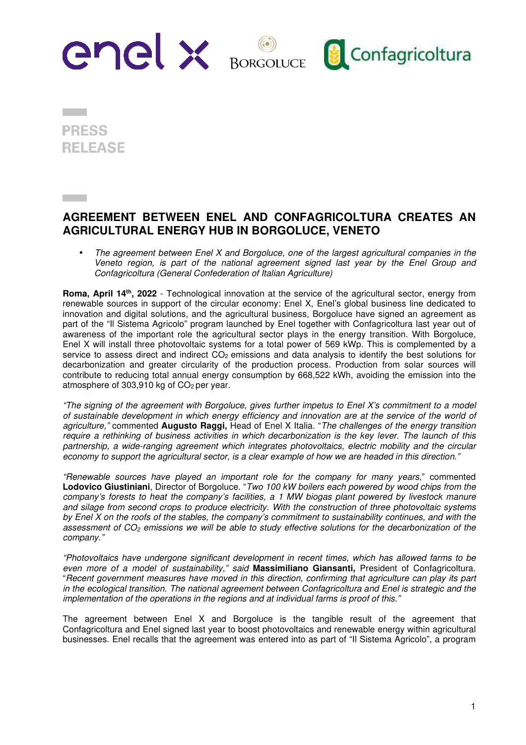

**PRESS REI FASE** 

## **AGREEMENT BETWEEN ENEL AND CONFAGRICOLTURA CREATES AN AGRICULTURAL ENERGY HUB IN BORGOLUCE, VENETO**

The agreement between Enel X and Borgoluce, one of the largest agricultural companies in the Veneto region, is part of the national agreement signed last year by the Enel Group and Confagricoltura (General Confederation of Italian Agriculture)

**Roma, April 14th, 2022** - Technological innovation at the service of the agricultural sector, energy from renewable sources in support of the circular economy: Enel X, Enel's global business line dedicated to innovation and digital solutions, and the agricultural business, Borgoluce have signed an agreement as part of the "Il Sistema Agricolo" program launched by Enel together with Confagricoltura last year out of awareness of the important role the agricultural sector plays in the energy transition. With Borgoluce, Enel X will install three photovoltaic systems for a total power of 569 kWp. This is complemented by a service to assess direct and indirect  $CO<sub>2</sub>$  emissions and data analysis to identify the best solutions for decarbonization and greater circularity of the production process. Production from solar sources will contribute to reducing total annual energy consumption by 668,522 kWh, avoiding the emission into the atmosphere of 303,910 kg of  $CO<sub>2</sub>$  per year.

"The signing of the agreement with Borgoluce, gives further impetus to Enel X's commitment to a model of sustainable development in which energy efficiency and innovation are at the service of the world of agriculture," commented **Augusto Raggi,** Head of Enel X Italia. "The challenges of the energy transition require a rethinking of business activities in which decarbonization is the key lever. The launch of this partnership, a wide-ranging agreement which integrates photovoltaics, electric mobility and the circular economy to support the agricultural sector, is a clear example of how we are headed in this direction."

"Renewable sources have played an important role for the company for many years," commented **Lodovico Giustiniani**, Director of Borgoluce. "Two 100 kW boilers each powered by wood chips from the company's forests to heat the company's facilities, a 1 MW biogas plant powered by livestock manure and silage from second crops to produce electricity. With the construction of three photovoltaic systems by Enel X on the roofs of the stables, the company's commitment to sustainability continues, and with the assessment of CO<sub>2</sub> emissions we will be able to study effective solutions for the decarbonization of the company."

"Photovoltaics have undergone significant development in recent times, which has allowed farms to be even more of a model of sustainability," said **Massimiliano Giansanti,** President of Confagricoltura. "Recent government measures have moved in this direction, confirming that agriculture can play its part in the ecological transition. The national agreement between Confagricoltura and Enel is strategic and the implementation of the operations in the regions and at individual farms is proof of this."

The agreement between Enel X and Borgoluce is the tangible result of the agreement that Confagricoltura and Enel signed last year to boost photovoltaics and renewable energy within agricultural businesses. Enel recalls that the agreement was entered into as part of "Il Sistema Agricolo", a program